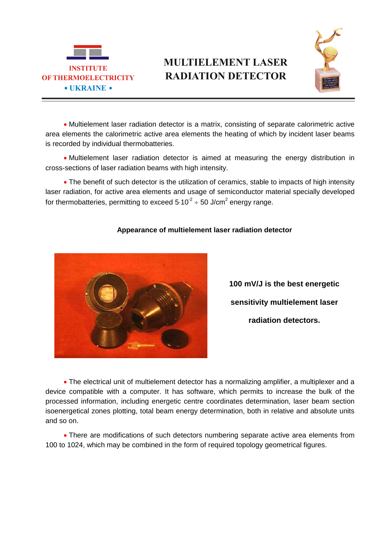

## **MULTIELEMENT LASER RADIATION DETECTOR**



 Multielement laser radiation detector is a matrix, consisting of separate calorimetric active area elements the calorimetric active area elements the heating of which by incident laser beams is recorded by individual thermobatteries.

 Multielement laser radiation detector is aimed at measuring the energy distribution in cross-sections of laser radiation beams with high intensity.

• The benefit of such detector is the utilization of ceramics, stable to impacts of high intensity laser radiation, for active area elements and usage of semiconductor material specially developed for thermobatteries, permitting to exceed 5 $\cdot$ 10<sup>-2</sup>  $\div$  50 J/cm<sup>2</sup> energy range.



## **Appearance of multielement laser radiation detector**

**100 mV/J is the best energetic sensitivity multielement laser radiation detectors.**

 The electrical unit of multielement detector has a normalizing amplifier, a multiplexer and a device compatible with a computer. It has software, which permits to increase the bulk of the processed information, including energetic centre coordinates determination, laser beam section isoenergetical zones plotting, total beam energy determination, both in relative and absolute units and so on.

 There are modifications of such detectors numbering separate active area elements from 100 to 1024, which may be combined in the form of required topology geometrical figures.